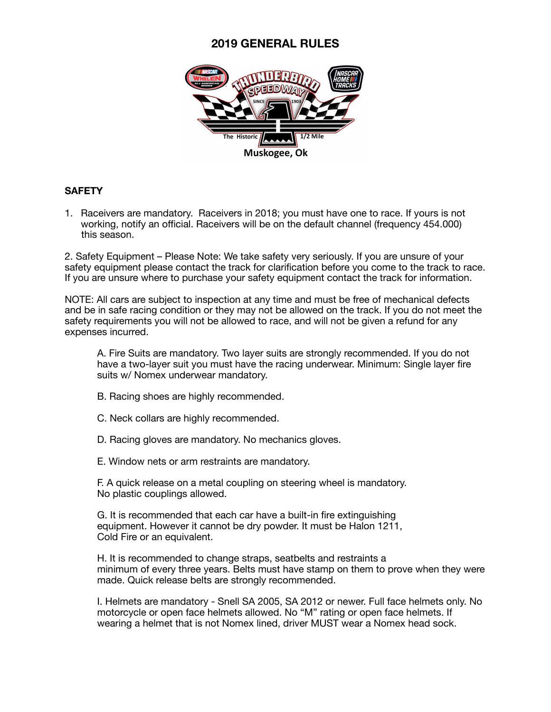

### **SAFETY**

1. Raceivers are mandatory. Raceivers in 2018; you must have one to race. If yours is not working, notify an official. Raceivers will be on the default channel (frequency 454.000) this season.

2. Safety Equipment – Please Note: We take safety very seriously. If you are unsure of your safety equipment please contact the track for clarification before you come to the track to race. If you are unsure where to purchase your safety equipment contact the track for information.

NOTE: All cars are subject to inspection at any time and must be free of mechanical defects and be in safe racing condition or they may not be allowed on the track. If you do not meet the safety requirements you will not be allowed to race, and will not be given a refund for any expenses incurred.

A. Fire Suits are mandatory. Two layer suits are strongly recommended. If you do not have a two-layer suit you must have the racing underwear. Minimum: Single layer fire suits w/ Nomex underwear mandatory.

- B. Racing shoes are highly recommended.
- C. Neck collars are highly recommended.
- D. Racing gloves are mandatory. No mechanics gloves.
- E. Window nets or arm restraints are mandatory.

F. A quick release on a metal coupling on steering wheel is mandatory. No plastic couplings allowed.

G. It is recommended that each car have a built-in fire extinguishing equipment. However it cannot be dry powder. It must be Halon 1211, Cold Fire or an equivalent.

H. It is recommended to change straps, seatbelts and restraints a minimum of every three years. Belts must have stamp on them to prove when they were made. Quick release belts are strongly recommended.

I. Helmets are mandatory - Snell SA 2005, SA 2012 or newer. Full face helmets only. No motorcycle or open face helmets allowed. No "M" rating or open face helmets. If wearing a helmet that is not Nomex lined, driver MUST wear a Nomex head sock.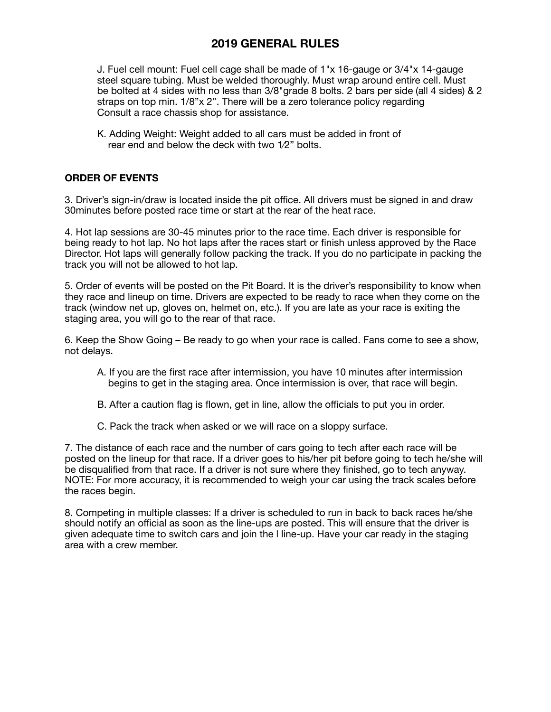J. Fuel cell mount: Fuel cell cage shall be made of 1"x 16-gauge or 3/4"x 14-gauge steel square tubing. Must be welded thoroughly. Must wrap around entire cell. Must be bolted at 4 sides with no less than 3/8"grade 8 bolts. 2 bars per side (all 4 sides) & 2 straps on top min. 1/8"x 2". There will be a zero tolerance policy regarding Consult a race chassis shop for assistance.

K. Adding Weight: Weight added to all cars must be added in front of rear end and below the deck with two 1⁄2" bolts.

### **ORDER OF EVENTS**

3. Driver's sign-in/draw is located inside the pit office. All drivers must be signed in and draw 30minutes before posted race time or start at the rear of the heat race.

4. Hot lap sessions are 30-45 minutes prior to the race time. Each driver is responsible for being ready to hot lap. No hot laps after the races start or finish unless approved by the Race Director. Hot laps will generally follow packing the track. If you do no participate in packing the track you will not be allowed to hot lap.

5. Order of events will be posted on the Pit Board. It is the driver's responsibility to know when they race and lineup on time. Drivers are expected to be ready to race when they come on the track (window net up, gloves on, helmet on, etc.). If you are late as your race is exiting the staging area, you will go to the rear of that race.

6. Keep the Show Going – Be ready to go when your race is called. Fans come to see a show, not delays.

- A. If you are the first race after intermission, you have 10 minutes after intermission begins to get in the staging area. Once intermission is over, that race will begin.
- B. After a caution flag is flown, get in line, allow the officials to put you in order.
- C. Pack the track when asked or we will race on a sloppy surface.

7. The distance of each race and the number of cars going to tech after each race will be posted on the lineup for that race. If a driver goes to his/her pit before going to tech he/she will be disqualified from that race. If a driver is not sure where they finished, go to tech anyway. NOTE: For more accuracy, it is recommended to weigh your car using the track scales before the races begin.

8. Competing in multiple classes: If a driver is scheduled to run in back to back races he/she should notify an official as soon as the line-ups are posted. This will ensure that the driver is given adequate time to switch cars and join the l line-up. Have your car ready in the staging area with a crew member.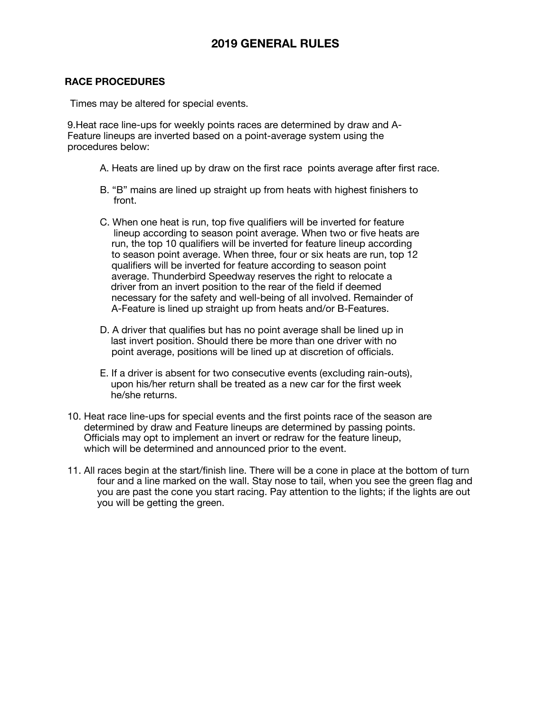#### **RACE PROCEDURES**

Times may be altered for special events.

 9.Heat race line-ups for weekly points races are determined by draw and A- Feature lineups are inverted based on a point-average system using the procedures below:

- A. Heats are lined up by draw on the first race points average after first race.
- B. "B" mains are lined up straight up from heats with highest finishers to front.
- C. When one heat is run, top five qualifiers will be inverted for feature lineup according to season point average. When two or five heats are run, the top 10 qualifiers will be inverted for feature lineup according to season point average. When three, four or six heats are run, top 12 qualifiers will be inverted for feature according to season point average. Thunderbird Speedway reserves the right to relocate a driver from an invert position to the rear of the field if deemed necessary for the safety and well-being of all involved. Remainder of A-Feature is lined up straight up from heats and/or B-Features.
- D. A driver that qualifies but has no point average shall be lined up in last invert position. Should there be more than one driver with no point average, positions will be lined up at discretion of officials.
- E. If a driver is absent for two consecutive events (excluding rain-outs), upon his/her return shall be treated as a new car for the first week he/she returns.
- 10. Heat race line-ups for special events and the first points race of the season are determined by draw and Feature lineups are determined by passing points. Officials may opt to implement an invert or redraw for the feature lineup, which will be determined and announced prior to the event.
- 11. All races begin at the start/finish line. There will be a cone in place at the bottom of turn four and a line marked on the wall. Stay nose to tail, when you see the green flag and you are past the cone you start racing. Pay attention to the lights; if the lights are out you will be getting the green.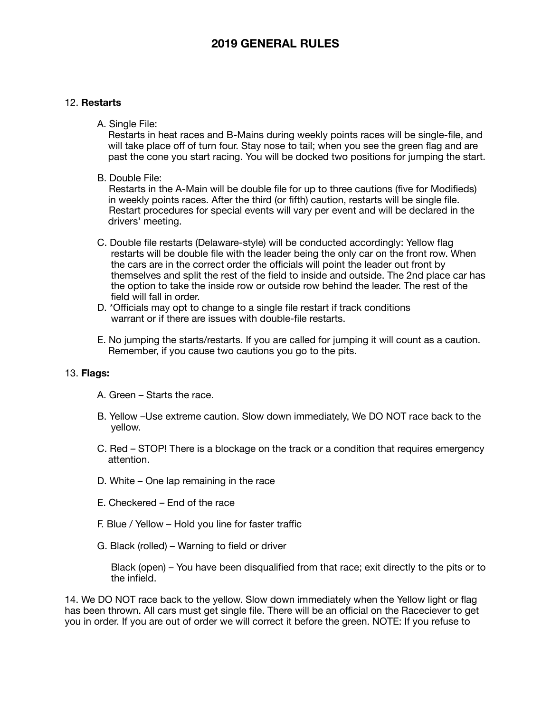#### 12. **Restarts**

A. Single File:

 Restarts in heat races and B-Mains during weekly points races will be single-file, and will take place off of turn four. Stay nose to tail; when you see the green flag and are past the cone you start racing. You will be docked two positions for jumping the start.

B. Double File:

 Restarts in the A-Main will be double file for up to three cautions (five for Modifieds) in weekly points races. After the third (or fifth) caution, restarts will be single file. Restart procedures for special events will vary per event and will be declared in the drivers' meeting.

- C. Double file restarts (Delaware-style) will be conducted accordingly: Yellow flag restarts will be double file with the leader being the only car on the front row. When the cars are in the correct order the officials will point the leader out front by themselves and split the rest of the field to inside and outside. The 2nd place car has the option to take the inside row or outside row behind the leader. The rest of the field will fall in order.
- D. \*Officials may opt to change to a single file restart if track conditions warrant or if there are issues with double-file restarts.
- E. No jumping the starts/restarts. If you are called for jumping it will count as a caution. Remember, if you cause two cautions you go to the pits.

#### 13. **Flags:**

- A. Green Starts the race.
- B. Yellow –Use extreme caution. Slow down immediately, We DO NOT race back to the yellow.
- C. Red STOP! There is a blockage on the track or a condition that requires emergency attention.
- D. White One lap remaining in the race
- E. Checkered End of the race
- F. Blue / Yellow Hold you line for faster traffic
- G. Black (rolled) Warning to field or driver

 Black (open) – You have been disqualified from that race; exit directly to the pits or to the infield.

14. We DO NOT race back to the yellow. Slow down immediately when the Yellow light or flag has been thrown. All cars must get single file. There will be an official on the Raceciever to get you in order. If you are out of order we will correct it before the green. NOTE: If you refuse to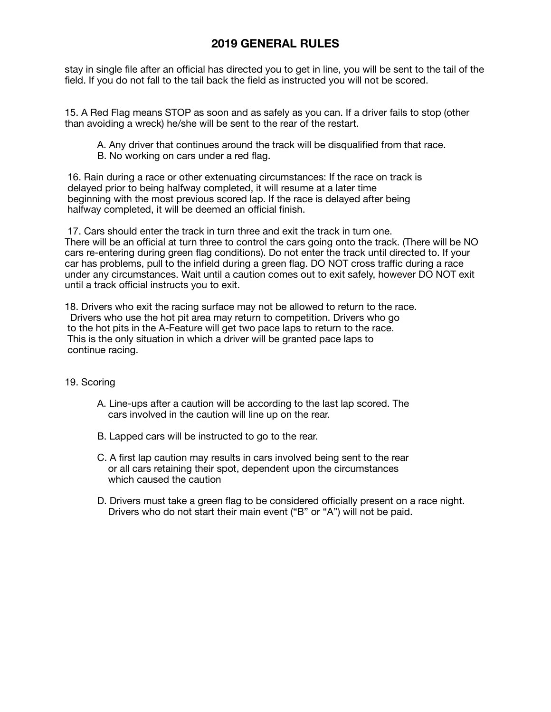stay in single file after an official has directed you to get in line, you will be sent to the tail of the field. If you do not fall to the tail back the field as instructed you will not be scored.

15. A Red Flag means STOP as soon and as safely as you can. If a driver fails to stop (other than avoiding a wreck) he/she will be sent to the rear of the restart.

- A. Any driver that continues around the track will be disqualified from that race.
- B. No working on cars under a red flag.

 16. Rain during a race or other extenuating circumstances: If the race on track is delayed prior to being halfway completed, it will resume at a later time beginning with the most previous scored lap. If the race is delayed after being halfway completed, it will be deemed an official finish.

 17. Cars should enter the track in turn three and exit the track in turn one. There will be an official at turn three to control the cars going onto the track. (There will be NO cars re-entering during green flag conditions). Do not enter the track until directed to. If your car has problems, pull to the infield during a green flag. DO NOT cross traffic during a race under any circumstances. Wait until a caution comes out to exit safely, however DO NOT exit until a track official instructs you to exit.

18. Drivers who exit the racing surface may not be allowed to return to the race. Drivers who use the hot pit area may return to competition. Drivers who go to the hot pits in the A-Feature will get two pace laps to return to the race. This is the only situation in which a driver will be granted pace laps to continue racing.

### 19. Scoring

- A. Line-ups after a caution will be according to the last lap scored. The cars involved in the caution will line up on the rear.
- B. Lapped cars will be instructed to go to the rear.
- C. A first lap caution may results in cars involved being sent to the rear or all cars retaining their spot, dependent upon the circumstances which caused the caution
- D. Drivers must take a green flag to be considered officially present on a race night. Drivers who do not start their main event ("B" or "A") will not be paid.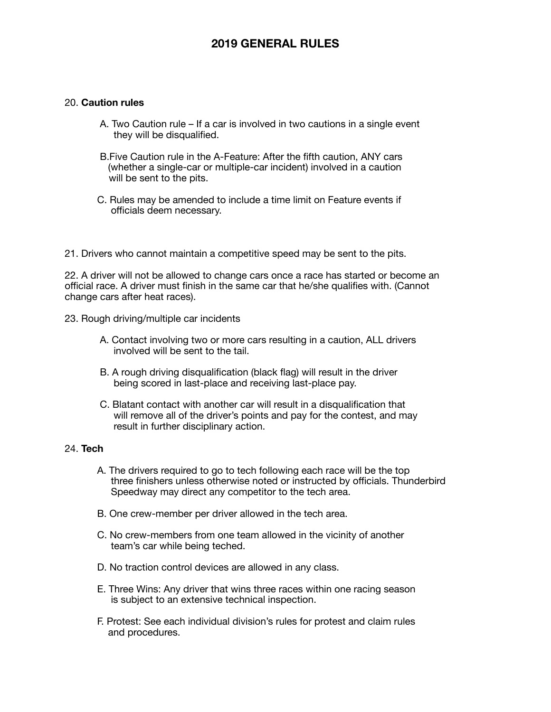#### 20. **Caution rules**

- A. Two Caution rule If a car is involved in two cautions in a single event they will be disqualified.
- B.Five Caution rule in the A-Feature: After the fifth caution, ANY cars (whether a single-car or multiple-car incident) involved in a caution will be sent to the pits.
- C. Rules may be amended to include a time limit on Feature events if officials deem necessary.
- 21. Drivers who cannot maintain a competitive speed may be sent to the pits.

22. A driver will not be allowed to change cars once a race has started or become an official race. A driver must finish in the same car that he/she qualifies with. (Cannot change cars after heat races).

- 23. Rough driving/multiple car incidents
	- A. Contact involving two or more cars resulting in a caution, ALL drivers involved will be sent to the tail.
	- B. A rough driving disqualification (black flag) will result in the driver being scored in last-place and receiving last-place pay.
	- C. Blatant contact with another car will result in a disqualification that will remove all of the driver's points and pay for the contest, and may result in further disciplinary action.

#### 24. **Tech**

- A. The drivers required to go to tech following each race will be the top three finishers unless otherwise noted or instructed by officials. Thunderbird Speedway may direct any competitor to the tech area.
- B. One crew-member per driver allowed in the tech area.
- C. No crew-members from one team allowed in the vicinity of another team's car while being teched.
- D. No traction control devices are allowed in any class.
- E. Three Wins: Any driver that wins three races within one racing season is subject to an extensive technical inspection.
- F. Protest: See each individual division's rules for protest and claim rules and procedures.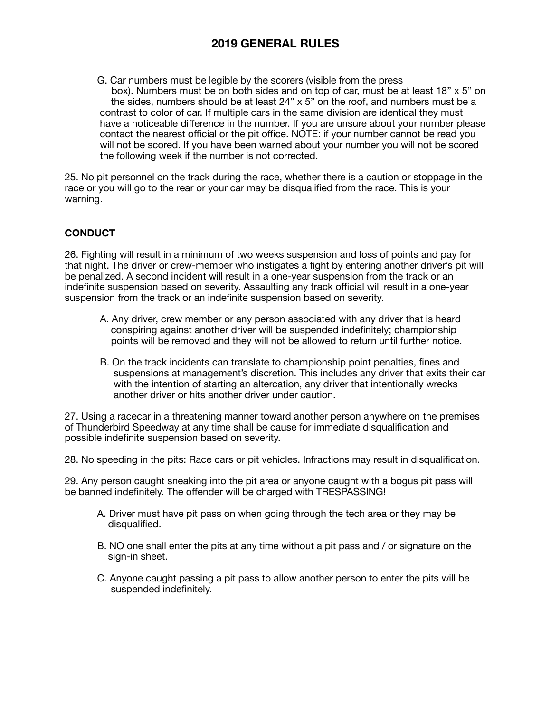G. Car numbers must be legible by the scorers (visible from the press box). Numbers must be on both sides and on top of car, must be at least 18" x 5" on the sides, numbers should be at least 24" x 5" on the roof, and numbers must be a contrast to color of car. If multiple cars in the same division are identical they must have a noticeable difference in the number. If you are unsure about your number please contact the nearest official or the pit office. NOTE: if your number cannot be read you will not be scored. If you have been warned about your number you will not be scored the following week if the number is not corrected.

25. No pit personnel on the track during the race, whether there is a caution or stoppage in the race or you will go to the rear or your car may be disqualified from the race. This is your warning.

### **CONDUCT**

26. Fighting will result in a minimum of two weeks suspension and loss of points and pay for that night. The driver or crew-member who instigates a fight by entering another driver's pit will be penalized. A second incident will result in a one-year suspension from the track or an indefinite suspension based on severity. Assaulting any track official will result in a one-year suspension from the track or an indefinite suspension based on severity.

- A. Any driver, crew member or any person associated with any driver that is heard conspiring against another driver will be suspended indefinitely; championship points will be removed and they will not be allowed to return until further notice.
- B. On the track incidents can translate to championship point penalties, fines and suspensions at management's discretion. This includes any driver that exits their car with the intention of starting an altercation, any driver that intentionally wrecks another driver or hits another driver under caution.

27. Using a racecar in a threatening manner toward another person anywhere on the premises of Thunderbird Speedway at any time shall be cause for immediate disqualification and possible indefinite suspension based on severity.

28. No speeding in the pits: Race cars or pit vehicles. Infractions may result in disqualification.

29. Any person caught sneaking into the pit area or anyone caught with a bogus pit pass will be banned indefinitely. The offender will be charged with TRESPASSING!

- A. Driver must have pit pass on when going through the tech area or they may be disqualified.
- B. NO one shall enter the pits at any time without a pit pass and / or signature on the sign-in sheet.
- C. Anyone caught passing a pit pass to allow another person to enter the pits will be suspended indefinitely.